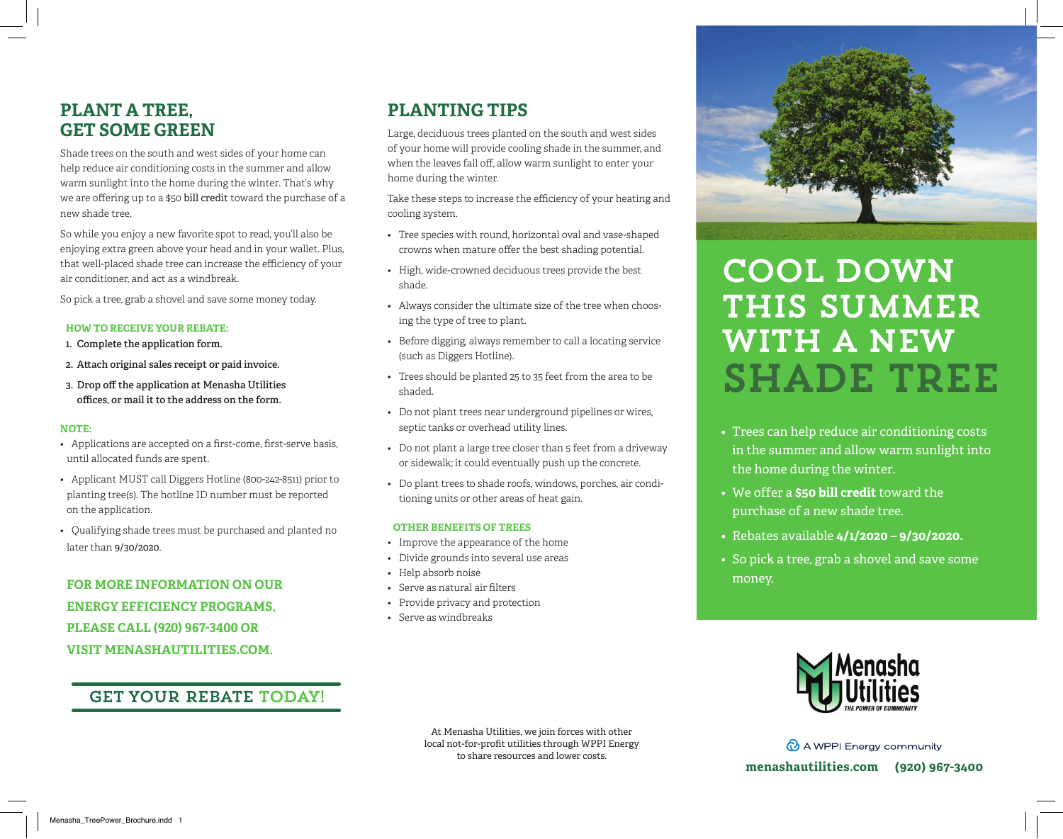# **PLANT A TREE, GET SOME GREEN**

Shade trees on the south and west sides of your home can help reduce air conditioning costs in the summer and allow warm sunlight into the home during the winter. That's why we are offering up to a \$50 bill credit toward the purchase of a new shade tree.

So while you enjoy a new favorite spot to read, you'll also be enjoying extra green above your head and in your wallet. Plus, that well-placed shade tree can increase the efficiency of your air conditioner, and act as a windbreak.

So pick a tree, grab a shovel and save some money today.

## **HOW TO RECEIVE YOUR REBATE:**

- **1. Complete the application form.**
- **2. Attach original sales receipt or paid invoice.**
- **3. Drop off the application at Menasha Utilities offices, or mail it to the address on the form.**

# **NOTE:**

- Applications are accepted on a first-come, first-serve basis, until allocated funds are spent.
- Applicant MUST call Diggers Hotline (800-242-8511) prior to planting tree(s). The hotline ID number must be reported on the application.
- Qualifying shade trees must be purchased and planted no later than 9/30/2020.

**FOR MORE INFORMATION ON OUR ENERGY EFFICIENCY PROGRAMS, PLEASE CALL (920) 967-3400 OR VISIT MENASHAUTILITIES.COM.**

# get your rebate today!

# **PLANTING TIPS**

Large, deciduous trees planted on the south and west sides of your home will provide cooling shade in the summer, and when the leaves fall off, allow warm sunlight to enter your home during the winter.

Take these steps to increase the efficiency of your heating and cooling system.

- Tree species with round, horizontal oval and vase-shaped crowns when mature offer the best shading potential.
- High, wide-crowned deciduous trees provide the best shade.
- Always consider the ultimate size of the tree when choosing the type of tree to plant.
- Before digging, always remember to call a locating service (such as Diggers Hotline).
- Trees should be planted 25 to 35 feet from the area to be shaded.
- Do not plant trees near underground pipelines or wires, septic tanks or overhead utility lines.
- Do not plant a large tree closer than 5 feet from a driveway or sidewalk; it could eventually push up the concrete.
- Do plant trees to shade roofs, windows, porches, air conditioning units or other areas of heat gain.

## **OTHER BENEFITS OF TREES**

- Improve the appearance of the home
- Divide grounds into several use areas
- Help absorb noise
- Serve as natural air filters
- Provide privacy and protection
- Serve as windbreaks



# **COOL DOWN** this summer with a new shade tree

- Trees can help reduce air conditioning costs in the summer and allow warm sunlight into the home during the winter.
- We offer a **\$50 bill credit** toward the purchase of a new shade tree.
- Rebates available **4/1/2020 9/30/2020.**
- So pick a tree, grab a shovel and save some money.



At Menasha Utilities, we join forces with other local not-for-profit utilities through WPPI Energy to share resources and lower costs.

A WPPI Energy community **menashautilities.com (920) 967-3400**